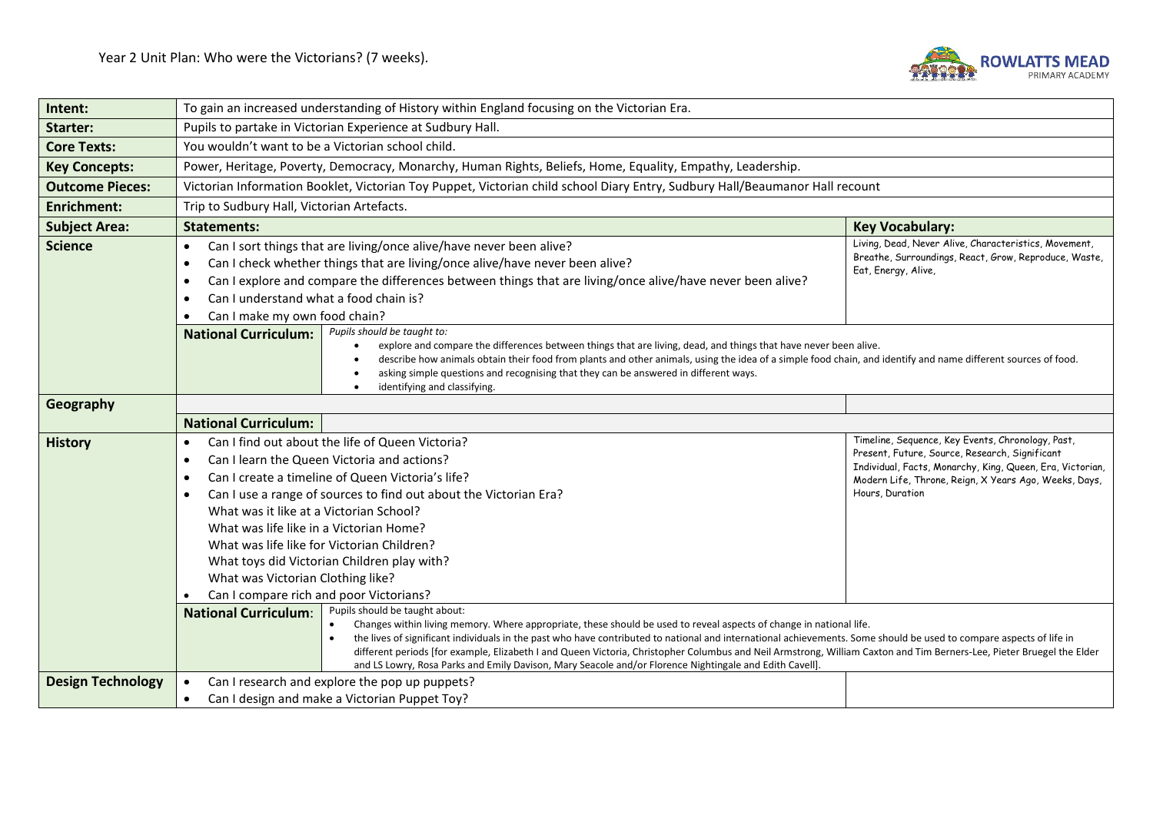

| Intent:                  | To gain an increased understanding of History within England focusing on the Victorian Era.                                                                                                                                                                                                                                                                                                                                                                                                                                                                                                                       |                                                                                                                                                                                                                                              |  |  |
|--------------------------|-------------------------------------------------------------------------------------------------------------------------------------------------------------------------------------------------------------------------------------------------------------------------------------------------------------------------------------------------------------------------------------------------------------------------------------------------------------------------------------------------------------------------------------------------------------------------------------------------------------------|----------------------------------------------------------------------------------------------------------------------------------------------------------------------------------------------------------------------------------------------|--|--|
| <b>Starter:</b>          | Pupils to partake in Victorian Experience at Sudbury Hall.                                                                                                                                                                                                                                                                                                                                                                                                                                                                                                                                                        |                                                                                                                                                                                                                                              |  |  |
| <b>Core Texts:</b>       | You wouldn't want to be a Victorian school child.                                                                                                                                                                                                                                                                                                                                                                                                                                                                                                                                                                 |                                                                                                                                                                                                                                              |  |  |
| <b>Key Concepts:</b>     | Power, Heritage, Poverty, Democracy, Monarchy, Human Rights, Beliefs, Home, Equality, Empathy, Leadership.                                                                                                                                                                                                                                                                                                                                                                                                                                                                                                        |                                                                                                                                                                                                                                              |  |  |
| <b>Outcome Pieces:</b>   | Victorian Information Booklet, Victorian Toy Puppet, Victorian child school Diary Entry, Sudbury Hall/Beaumanor Hall recount                                                                                                                                                                                                                                                                                                                                                                                                                                                                                      |                                                                                                                                                                                                                                              |  |  |
| <b>Enrichment:</b>       | Trip to Sudbury Hall, Victorian Artefacts.                                                                                                                                                                                                                                                                                                                                                                                                                                                                                                                                                                        |                                                                                                                                                                                                                                              |  |  |
| <b>Subject Area:</b>     | <b>Statements:</b><br><b>Key Vocabulary:</b>                                                                                                                                                                                                                                                                                                                                                                                                                                                                                                                                                                      |                                                                                                                                                                                                                                              |  |  |
| <b>Science</b>           | Can I sort things that are living/once alive/have never been alive?<br>$\bullet$<br>Can I check whether things that are living/once alive/have never been alive?<br>$\bullet$<br>Can I explore and compare the differences between things that are living/once alive/have never been alive?<br>$\bullet$<br>Can I understand what a food chain is?<br>$\bullet$<br>Can I make my own food chain?                                                                                                                                                                                                                  | Living, Dead, Never Alive, Characteristics, Movement,<br>Breathe, Surroundings, React, Grow, Reproduce, Waste,<br>Eat, Energy, Alive,                                                                                                        |  |  |
|                          | Pupils should be taught to:<br><b>National Curriculum:</b><br>explore and compare the differences between things that are living, dead, and things that have never been alive.<br>$\bullet$<br>describe how animals obtain their food from plants and other animals, using the idea of a simple food chain, and identify and name different sources of food.<br>asking simple questions and recognising that they can be answered in different ways.<br>identifying and classifying.<br>$\bullet$                                                                                                                 |                                                                                                                                                                                                                                              |  |  |
| Geography                |                                                                                                                                                                                                                                                                                                                                                                                                                                                                                                                                                                                                                   |                                                                                                                                                                                                                                              |  |  |
|                          | <b>National Curriculum:</b>                                                                                                                                                                                                                                                                                                                                                                                                                                                                                                                                                                                       |                                                                                                                                                                                                                                              |  |  |
| <b>History</b>           | Can I find out about the life of Queen Victoria?<br>$\bullet$<br>Can I learn the Queen Victoria and actions?<br>$\bullet$<br>Can I create a timeline of Queen Victoria's life?<br>$\bullet$<br>Can I use a range of sources to find out about the Victorian Era?<br>$\bullet$<br>What was it like at a Victorian School?<br>What was life like in a Victorian Home?<br>What was life like for Victorian Children?<br>What toys did Victorian Children play with?<br>What was Victorian Clothing like?<br>Can I compare rich and poor Victorians?<br>Pupils should be taught about:<br><b>National Curriculum:</b> | Timeline, Sequence, Key Events, Chronology, Past,<br>Present, Future, Source, Research, Significant<br>Individual, Facts, Monarchy, King, Queen, Era, Victorian,<br>Modern Life, Throne, Reign, X Years Ago, Weeks, Days,<br>Hours, Duration |  |  |
|                          | Changes within living memory. Where appropriate, these should be used to reveal aspects of change in national life.<br>the lives of significant individuals in the past who have contributed to national and international achievements. Some should be used to compare aspects of life in<br>different periods [for example, Elizabeth I and Queen Victoria, Christopher Columbus and Neil Armstrong, William Caxton and Tim Berners-Lee, Pieter Bruegel the Elder<br>and LS Lowry, Rosa Parks and Emily Davison, Mary Seacole and/or Florence Nightingale and Edith Cavell].                                    |                                                                                                                                                                                                                                              |  |  |
| <b>Design Technology</b> | Can I research and explore the pop up puppets?<br>$\bullet$<br>Can I design and make a Victorian Puppet Toy?<br>$\bullet$                                                                                                                                                                                                                                                                                                                                                                                                                                                                                         |                                                                                                                                                                                                                                              |  |  |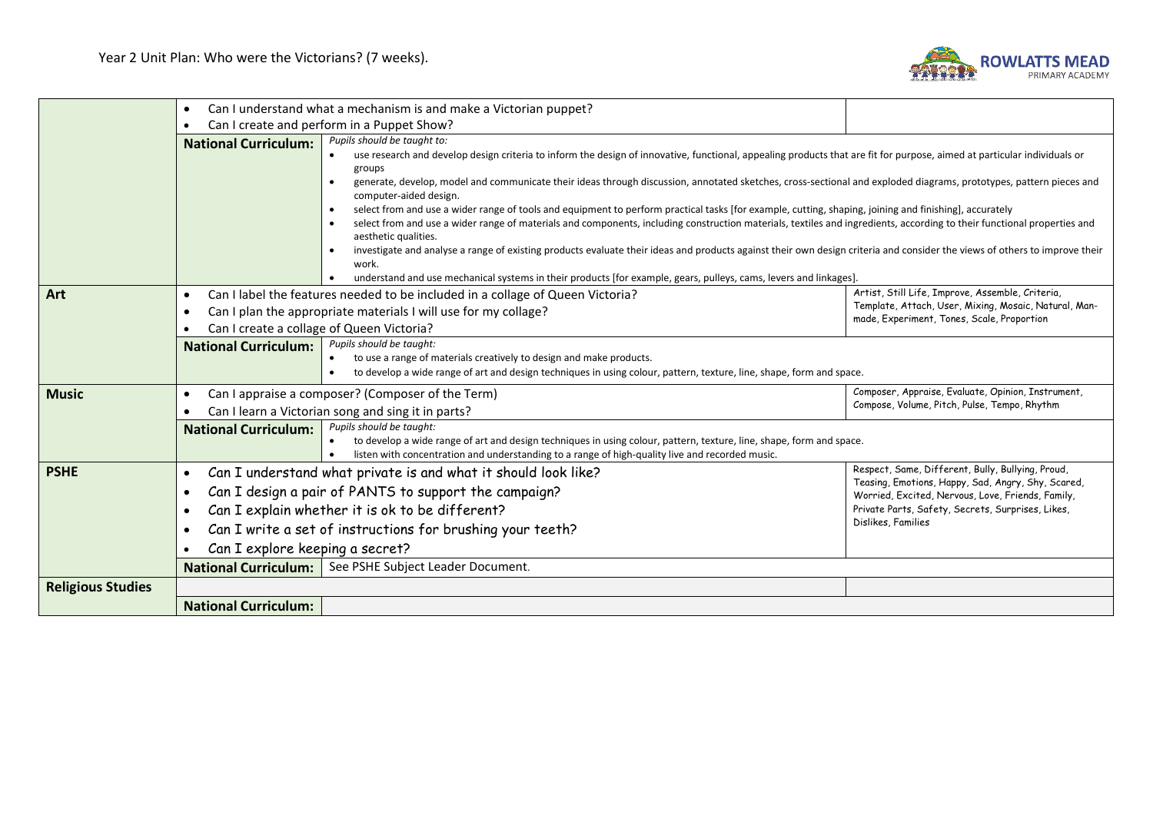

|                          | $\bullet$                                                                                                                                                                     | Can I understand what a mechanism is and make a Victorian puppet?                                                                                                                                                                                                                                                                                                      |                                                                                                           |  |  |
|--------------------------|-------------------------------------------------------------------------------------------------------------------------------------------------------------------------------|------------------------------------------------------------------------------------------------------------------------------------------------------------------------------------------------------------------------------------------------------------------------------------------------------------------------------------------------------------------------|-----------------------------------------------------------------------------------------------------------|--|--|
|                          |                                                                                                                                                                               | Can I create and perform in a Puppet Show?                                                                                                                                                                                                                                                                                                                             |                                                                                                           |  |  |
|                          | <b>National Curriculum:</b>                                                                                                                                                   | Pupils should be taught to:<br>use research and develop design criteria to inform the design of innovative, functional, appealing products that are fit for purpose, aimed at particular individuals or<br>groups                                                                                                                                                      |                                                                                                           |  |  |
|                          |                                                                                                                                                                               | generate, develop, model and communicate their ideas through discussion, annotated sketches, cross-sectional and exploded diagrams, prototypes, pattern pieces and<br>computer-aided design.                                                                                                                                                                           |                                                                                                           |  |  |
|                          |                                                                                                                                                                               | select from and use a wider range of tools and equipment to perform practical tasks [for example, cutting, shaping, joining and finishing], accurately<br>$\bullet$<br>select from and use a wider range of materials and components, including construction materials, textiles and ingredients, according to their functional properties and<br>aesthetic qualities. |                                                                                                           |  |  |
|                          |                                                                                                                                                                               | investigate and analyse a range of existing products evaluate their ideas and products against their own design criteria and consider the views of others to improve their<br>work.                                                                                                                                                                                    |                                                                                                           |  |  |
|                          |                                                                                                                                                                               | understand and use mechanical systems in their products [for example, gears, pulleys, cams, levers and linkages].                                                                                                                                                                                                                                                      |                                                                                                           |  |  |
| Art                      | $\bullet$                                                                                                                                                                     | Can I label the features needed to be included in a collage of Queen Victoria?                                                                                                                                                                                                                                                                                         | Artist, Still Life, Improve, Assemble, Criteria,<br>Template, Attach, User, Mixing, Mosaic, Natural, Man- |  |  |
|                          | $\bullet$                                                                                                                                                                     | Can I plan the appropriate materials I will use for my collage?<br>made, Experiment, Tones, Scale, Proportion                                                                                                                                                                                                                                                          |                                                                                                           |  |  |
|                          | Can I create a collage of Queen Victoria?                                                                                                                                     |                                                                                                                                                                                                                                                                                                                                                                        |                                                                                                           |  |  |
|                          | Pupils should be taught:<br><b>National Curriculum:</b>                                                                                                                       |                                                                                                                                                                                                                                                                                                                                                                        |                                                                                                           |  |  |
|                          |                                                                                                                                                                               | to use a range of materials creatively to design and make products.<br>to develop a wide range of art and design techniques in using colour, pattern, texture, line, shape, form and space.<br>$\bullet$                                                                                                                                                               |                                                                                                           |  |  |
| <b>Music</b>             | $\bullet$                                                                                                                                                                     | Composer, Appraise, Evaluate, Opinion, Instrument,                                                                                                                                                                                                                                                                                                                     |                                                                                                           |  |  |
|                          |                                                                                                                                                                               | Can I appraise a composer? (Composer of the Term)<br>Compose, Volume, Pitch, Pulse, Tempo, Rhythm                                                                                                                                                                                                                                                                      |                                                                                                           |  |  |
|                          | Can I learn a Victorian song and sing it in parts?<br>Pupils should be taught:                                                                                                |                                                                                                                                                                                                                                                                                                                                                                        |                                                                                                           |  |  |
|                          | <b>National Curriculum:</b>                                                                                                                                                   | to develop a wide range of art and design techniques in using colour, pattern, texture, line, shape, form and space.<br>$\bullet$<br>listen with concentration and understanding to a range of high-quality live and recorded music.<br>$\bullet$                                                                                                                      |                                                                                                           |  |  |
|                          |                                                                                                                                                                               |                                                                                                                                                                                                                                                                                                                                                                        |                                                                                                           |  |  |
| <b>PSHE</b>              | $\bullet$                                                                                                                                                                     | Can I understand what private is and what it should look like?                                                                                                                                                                                                                                                                                                         | Respect, Same, Different, Bully, Bullying, Proud,                                                         |  |  |
|                          | Teasing, Emotions, Happy, Sad, Angry, Shy, Scared,<br>Can I design a pair of PANTS to support the campaign?<br>$\bullet$<br>Worried, Excited, Nervous, Love, Friends, Family, |                                                                                                                                                                                                                                                                                                                                                                        |                                                                                                           |  |  |
|                          | Can I explain whether it is ok to be different?<br>Private Parts, Safety, Secrets, Surprises, Likes,<br>$\bullet$                                                             |                                                                                                                                                                                                                                                                                                                                                                        |                                                                                                           |  |  |
|                          | Dislikes, Families<br>Can I write a set of instructions for brushing your teeth?<br>Can I explore keeping a secret?                                                           |                                                                                                                                                                                                                                                                                                                                                                        |                                                                                                           |  |  |
|                          |                                                                                                                                                                               |                                                                                                                                                                                                                                                                                                                                                                        |                                                                                                           |  |  |
|                          |                                                                                                                                                                               | National Curriculum:   See PSHE Subject Leader Document.                                                                                                                                                                                                                                                                                                               |                                                                                                           |  |  |
| <b>Religious Studies</b> |                                                                                                                                                                               |                                                                                                                                                                                                                                                                                                                                                                        |                                                                                                           |  |  |
|                          | <b>National Curriculum:</b>                                                                                                                                                   |                                                                                                                                                                                                                                                                                                                                                                        |                                                                                                           |  |  |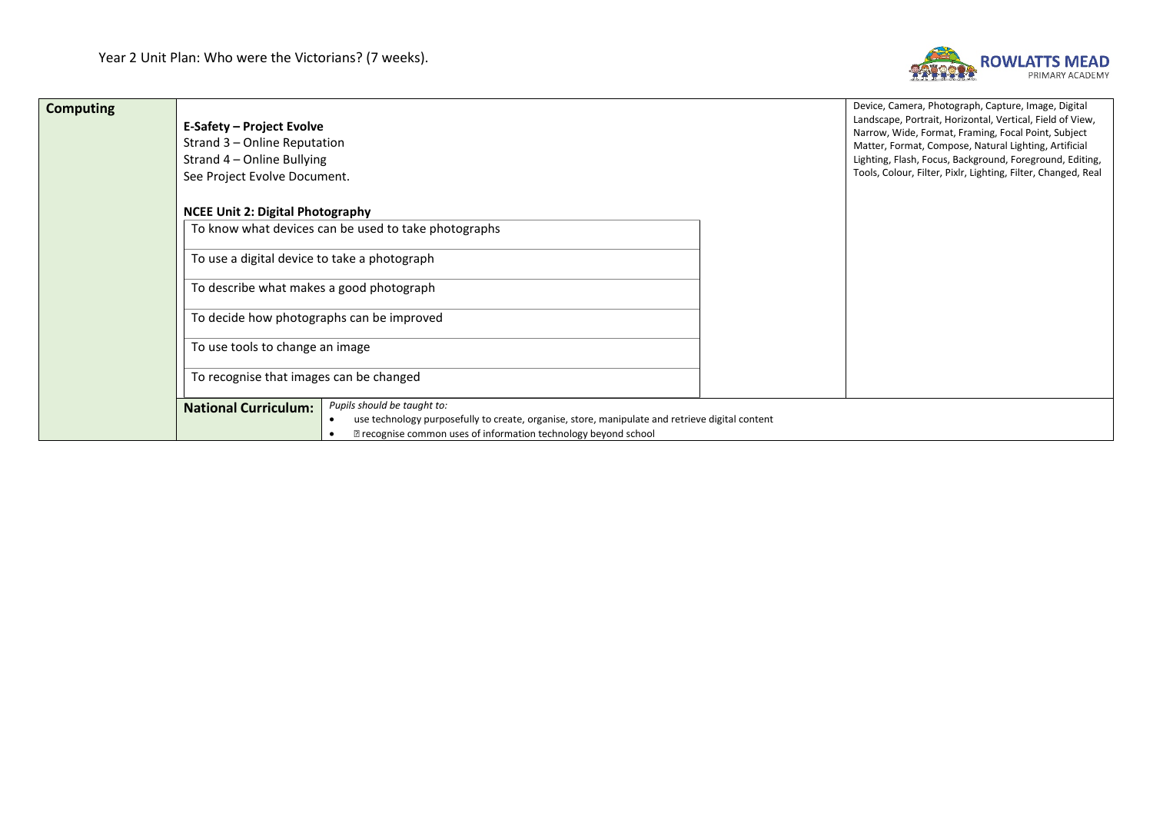

| <b>Computing</b> | E-Safety – Project Evolve<br>Strand 3 – Online Reputation<br>Strand 4 – Online Bullying<br>See Project Evolve Document.                                                                                                                              | Device, Camera, Photograph, Capture, Image, Digital<br>Landscape, Portrait, Horizontal, Vertical, Field of View,<br>Narrow, Wide, Format, Framing, Focal Point, Subject<br>Matter, Format, Compose, Natural Lighting, Artificial<br>Lighting, Flash, Focus, Background, Foreground, Editing,<br>Tools, Colour, Filter, Pixlr, Lighting, Filter, Changed, Real |
|------------------|------------------------------------------------------------------------------------------------------------------------------------------------------------------------------------------------------------------------------------------------------|---------------------------------------------------------------------------------------------------------------------------------------------------------------------------------------------------------------------------------------------------------------------------------------------------------------------------------------------------------------|
|                  | <b>NCEE Unit 2: Digital Photography</b>                                                                                                                                                                                                              |                                                                                                                                                                                                                                                                                                                                                               |
|                  | To know what devices can be used to take photographs                                                                                                                                                                                                 |                                                                                                                                                                                                                                                                                                                                                               |
|                  | To use a digital device to take a photograph                                                                                                                                                                                                         |                                                                                                                                                                                                                                                                                                                                                               |
|                  | To describe what makes a good photograph                                                                                                                                                                                                             |                                                                                                                                                                                                                                                                                                                                                               |
|                  | To decide how photographs can be improved                                                                                                                                                                                                            |                                                                                                                                                                                                                                                                                                                                                               |
|                  | To use tools to change an image                                                                                                                                                                                                                      |                                                                                                                                                                                                                                                                                                                                                               |
|                  | To recognise that images can be changed                                                                                                                                                                                                              |                                                                                                                                                                                                                                                                                                                                                               |
|                  | Pupils should be taught to:<br><b>National Curriculum:</b><br>use technology purposefully to create, organise, store, manipulate and retrieve digital content<br>$\bullet$<br><b>Z</b> recognise common uses of information technology beyond school |                                                                                                                                                                                                                                                                                                                                                               |